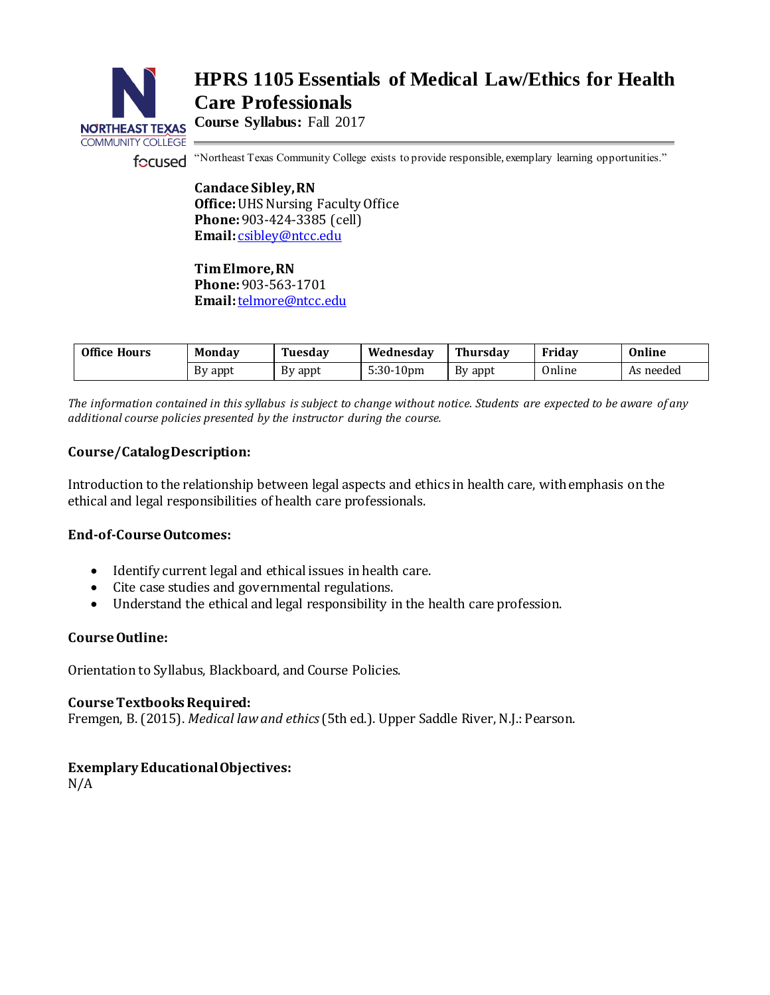# **HPRS 1105 Essentials of Medical Law/Ethics for Health Care Professionals**



**Course Syllabus:** Fall 2017

"Northeast Texas Community College exists to provide responsible, exemplary learning opportunities." focused

> **Candace Sibley, RN Office:**UHS Nursing Faculty Office **Phone:**903-424-3385 (cell) **Email:** [csibley@ntcc.edu](mailto:csibley@ntcc.edu)

**Tim Elmore, RN**

**Phone:** 903-563-1701 **Email:** telmore@ntcc.edu

| <b>Office Hours</b> | <b>Monday</b> | <b>Tuesday</b> | Wednesdav    | Thursdav | Fridav | Online    |
|---------------------|---------------|----------------|--------------|----------|--------|-----------|
|                     | By appt       | By appt        | $5:30-10$ pm | By appt  | Online | As needed |

*The information contained in this syllabus is subject to change without notice. Students are expected to be aware of any additional course policies presented by the instructor during the course.*

## **Course/Catalog Description:**

Introduction to the relationship between legal aspects and ethics in health care, with emphasis on the ethical and legal responsibilities of health care professionals.

## **End-of-Course Outcomes:**

- Identify current legal and ethical issues in health care.
- Cite case studies and governmental regulations.
- Understand the ethical and legal responsibility in the health care profession.

## **Course Outline:**

Orientation to Syllabus, Blackboard, and Course Policies.

## **Course Textbooks Required:**

Fremgen, B. (2015). *Medical law and ethics*(5th ed.). Upper Saddle River, N.J.: Pearson.

## **Exemplary Educational Objectives:**

N/A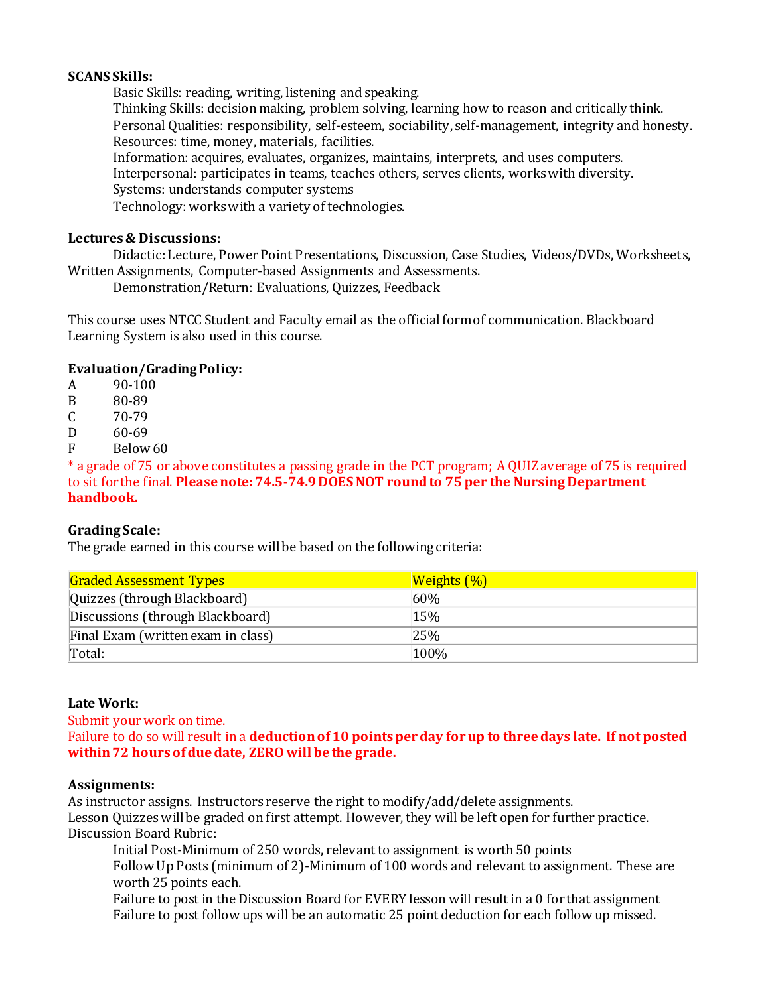## **SCANS Skills:**

Basic Skills: reading, writing, listening and speaking.

Thinking Skills: decision making, problem solving, learning how to reason and critically think. Personal Qualities: responsibility, self-esteem, sociability, self-management, integrity and honesty. Resources: time, money, materials, facilities.

Information: acquires, evaluates, organizes, maintains, interprets, and uses computers.

Interpersonal: participates in teams, teaches others, serves clients, works with diversity.

Systems: understands computer systems

Technology: works with a variety of technologies.

#### **Lectures & Discussions:**

Didactic: Lecture, Power Point Presentations, Discussion, Case Studies, Videos/DVDs, Worksheets, Written Assignments, Computer-based Assignments and Assessments.

Demonstration/Return: Evaluations, Quizzes, Feedback

This course uses NTCC Student and Faculty email as the official form of communication. Blackboard Learning System is also used in this course.

## **Evaluation/Grading Policy:**

A 90-100

- B 80-89
- $C = 70-79$
- D 60-69
- F Below 60

\* a grade of 75 or above constitutes a passing grade in the PCT program; A QUIZ average of 75 is required to sit for the final. **Please note: 74.5-74.9 DOES NOT round to 75 per the Nursing Department handbook.**

## **Grading Scale:**

The grade earned in this course will be based on the following criteria:

| <b>Graded Assessment Types</b>     | <b>Weights (%)</b> |
|------------------------------------|--------------------|
| Quizzes (through Blackboard)       | $60\%$             |
| Discussions (through Blackboard)   | 15%                |
| Final Exam (written exam in class) | 25%                |
| Total:                             | 100%               |

## **Late Work:**

Submit your work on time.

Failure to do so will result in a **deduction of 10 points per day for up to three days late. If not posted within 72 hours of due date, ZERO will be the grade.** 

#### **Assignments:**

As instructor assigns. Instructors reserve the right to modify/add/delete assignments. Lesson Quizzes will be graded on first attempt. However, they will be left open for further practice. Discussion Board Rubric:

Initial Post-Minimum of 250 words, relevant to assignment is worth 50 points

Follow Up Posts (minimum of 2)-Minimum of 100 words and relevant to assignment. These are worth 25 points each.

Failure to post in the Discussion Board for EVERY lesson will result in a 0 for that assignment Failure to post follow ups will be an automatic 25 point deduction for each follow up missed.